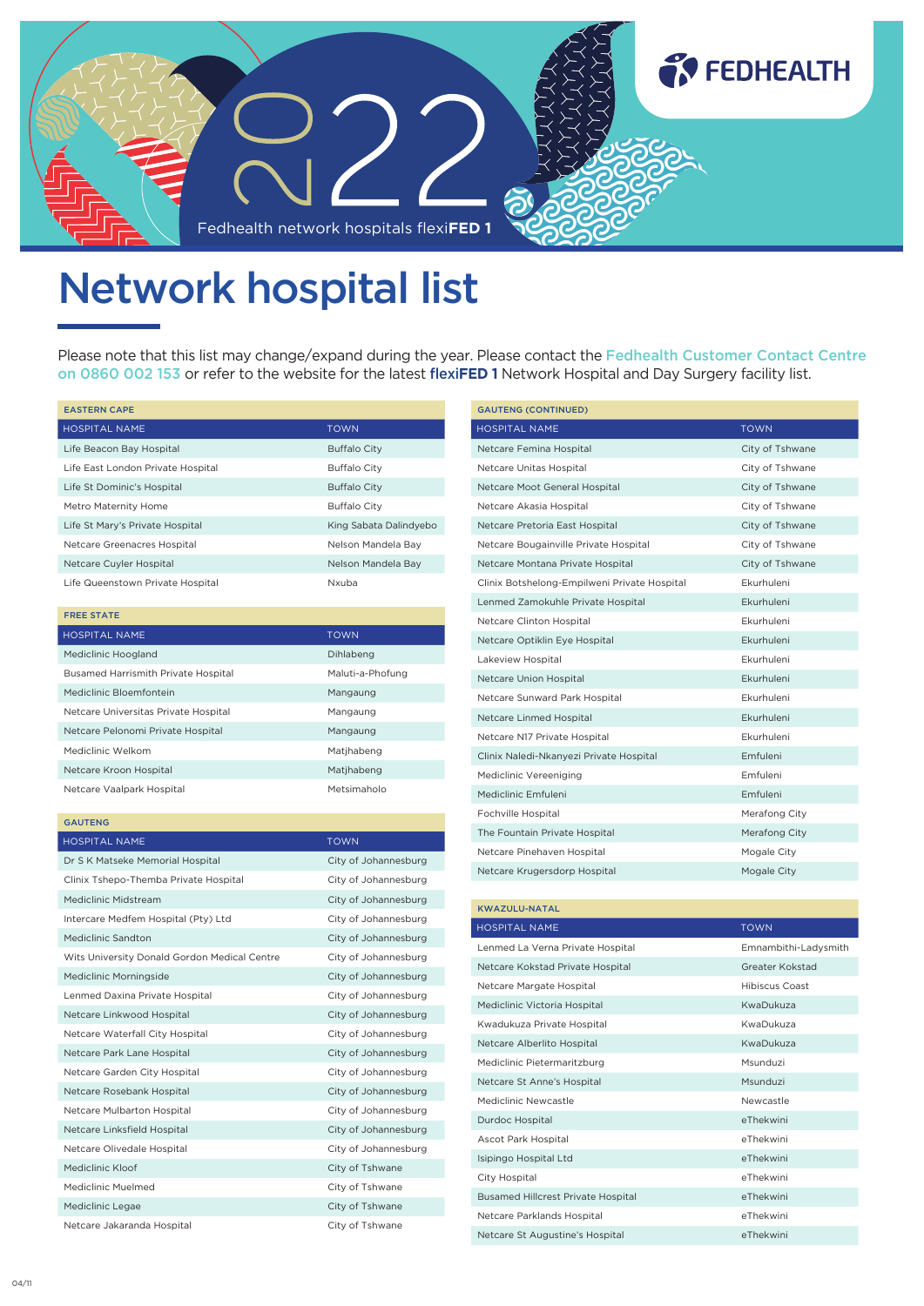

## Network hospital list

Please note that this list may change/expand during the year. Please contact the Fedhealth Customer Contact Centre on 0860 002 153 or refer to the website for the latest flexi**FED 1** Network Hospital and Day Surgery facility list.

| <b>EASTERN CAPE</b>               |                        |  |
|-----------------------------------|------------------------|--|
| <b>HOSPITAL NAME</b>              | <b>TOWN</b>            |  |
| Life Beacon Bay Hospital          | <b>Buffalo City</b>    |  |
| Life East London Private Hospital | <b>Buffalo City</b>    |  |
| Life St Dominic's Hospital        | <b>Buffalo City</b>    |  |
| Metro Maternity Home              | <b>Buffalo City</b>    |  |
| Life St Mary's Private Hospital   | King Sabata Dalindyebo |  |
| Netcare Greenacres Hospital       | Nelson Mandela Bay     |  |
| Netcare Cuyler Hospital           | Nelson Mandela Bay     |  |
| Life Queenstown Private Hospital  | Nxuba                  |  |

| <b>FREE STATE</b>                          |                  |
|--------------------------------------------|------------------|
| HOSPITAL NAME                              | <b>TOWN</b>      |
| Mediclinic Hoogland                        | Dihlabeng        |
| <b>Busamed Harrismith Private Hospital</b> | Maluti-a-Phofung |
| Mediclinic Bloemfontein                    | Mangaung         |
| Netcare Universitas Private Hospital       | Mangaung         |
| Netcare Pelonomi Private Hospital          | Mangaung         |
| Mediclinic Welkom                          | Matihabeng       |
| Netcare Kroon Hospital                     | Matihabeng       |
| Netcare Vaalpark Hospital                  | Metsimaholo      |

| <b>TOWN</b>          |
|----------------------|
| City of Johannesburg |
| City of Johannesburg |
| City of Johannesburg |
| City of Johannesburg |
| City of Johannesburg |
| City of Johannesburg |
| City of Johannesburg |
| City of Johannesburg |
| City of Johannesburg |
| City of Johannesburg |
| City of Johannesburg |
| City of Johannesburg |
| City of Johannesburg |
| City of Johannesburg |
| City of Johannesburg |
| City of Johannesburg |
| City of Tshwane      |
| City of Tshwane      |
| City of Tshwane      |
| City of Tshwane      |
|                      |

| <b>GAUTENG (CONTINUED)</b>                   |                   |
|----------------------------------------------|-------------------|
| <b>HOSPITAL NAME</b>                         | <b>TOWN</b>       |
| Netcare Femina Hospital                      | City of Tshwane   |
| Netcare Unitas Hospital                      | City of Tshwane   |
| Netcare Moot General Hospital                | City of Tshwane   |
| Netcare Akasia Hospital                      | City of Tshwane   |
| Netcare Pretoria East Hospital               | City of Tshwane   |
| Netcare Bougainville Private Hospital        | City of Tshwane   |
| Netcare Montana Private Hospital             | City of Tshwane   |
| Clinix Botshelong-Empilweni Private Hospital | Fkurhuleni        |
| Lenmed Zamokuhle Private Hospital            | Ekurhuleni        |
| Netcare Clinton Hospital                     | Fkurhuleni        |
| Netcare Optiklin Eye Hospital                | <b>Fkurhuleni</b> |
| Lakeview Hospital                            | Fkurhuleni        |
| Netcare Union Hospital                       | <b>Fkurhuleni</b> |
| Netcare Sunward Park Hospital                | Ekurhuleni        |
| Netcare Linmed Hospital                      | <b>Fkurhuleni</b> |
| Netcare N17 Private Hospital                 | <b>Fkurhuleni</b> |
| Clinix Naledi-Nkanyezi Private Hospital      | <b>Emfuleni</b>   |
| Mediclinic Vereeniging                       | <b>Emfuleni</b>   |
| Mediclinic Emfuleni                          | <b>Emfuleni</b>   |
| Fochville Hospital                           | Merafong City     |
| The Fountain Private Hospital                | Merafong City     |
| Netcare Pinehaven Hospital                   | Mogale City       |
| Netcare Krugersdorp Hospital                 | Mogale City       |

| <b>KWAZULU-NATAL</b>                      |                      |  |
|-------------------------------------------|----------------------|--|
| <b>HOSPITAL NAME</b>                      | <b>TOWN</b>          |  |
| Lenmed La Verna Private Hospital          | Emnambithi-Ladysmith |  |
| Netcare Kokstad Private Hospital          | Greater Kokstad      |  |
| Netcare Margate Hospital                  | Hibiscus Coast       |  |
| Mediclinic Victoria Hospital              | KwaDukuza            |  |
| Kwadukuza Private Hospital                | KwaDukuza            |  |
| Netcare Alberlito Hospital                | KwaDukuza            |  |
| Mediclinic Pietermaritzburg               | Msunduzi             |  |
| Netcare St Anne's Hospital                | Msunduzi             |  |
| Mediclinic Newcastle                      | Newcastle            |  |
| Durdoc Hospital                           | eThekwini            |  |
| Ascot Park Hospital                       | eThekwini            |  |
| Isipingo Hospital Ltd                     | eThekwini            |  |
| City Hospital                             | eThekwini            |  |
| <b>Busamed Hillcrest Private Hospital</b> | eThekwini            |  |
| Netcare Parklands Hospital                | eThekwini            |  |
| Netcare St Augustine's Hospital           | eThekwini            |  |